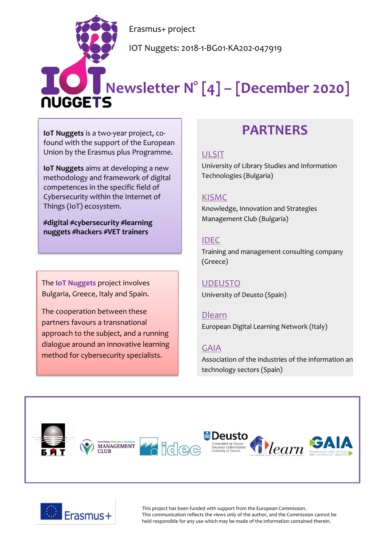Erasmus+ project

IOT Nuggets: 2018-1-BG01-KA202-047919

# **Newsletter N° [4] – [December 2020]**

**IoT Nuggets** is a two-year project, cofound with the support of the European Union by the Erasmus plus Programme.

**IoT Nuggets** aims at developing a new methodology and framework of digital competences in the specific field of Cybersecurity within the Internet of Things (IoT) ecosystem.

**#digital #cybersecurity #learning nuggets #hackers #VET trainers**

The **IoT Nuggets** project involves Bulgaria, Greece, Italy and Spain.

The cooperation between these partners favours a transnational approach to the subject, and a running dialogue around an innovative learning method for cybersecurity specialists.

## **PARTNERS**

#### [ULSIT](https://www.unibit.bg/en)

University of Library Studies and Information Technologies (Bulgaria)

#### [KISMC](http://www.innovation-mc.com/)

Knowledge, Innovation and Strategies Management Club (Bulgaria)

#### [IDEC](https://www.idec.gr/)

Training and management consulting company (Greece)

#### [UDEUSTO](https://www.deusto.es/cs/Satellite/deusto/en/university-deusto)

University of Deusto (Spain)

#### [Dlearn](http://dlearn.eu/)

European Digital Learning Network (Italy)

#### [GAIA](http://www.gaia.es/)

Association of the industries of the information an technology sectors (Spain)





This project has been funded with support from the European Commission. This communication reflects the views only of the author, and the Commission cannot be held responsible for any use which may be made of the information contained therein.